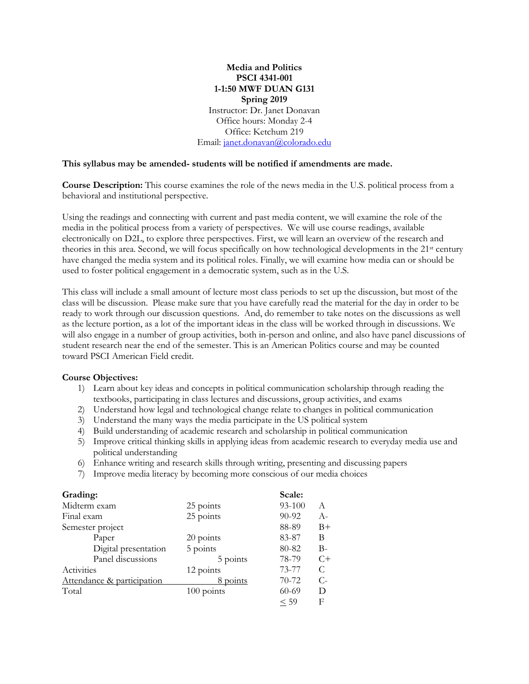## **Media and Politics PSCI 4341-001 1-1:50 MWF DUAN G131 Spring 2019** Instructor: Dr. Janet Donavan Office hours: Monday 2-4 Office: Ketchum 219

Email: [janet.donavan@colorado.edu](mailto:janet.donavan@colorado.edu)

#### **This syllabus may be amended- students will be notified if amendments are made.**

**Course Description:** This course examines the role of the news media in the U.S. political process from a behavioral and institutional perspective.

Using the readings and connecting with current and past media content, we will examine the role of the media in the political process from a variety of perspectives. We will use course readings, available electronically on D2L, to explore three perspectives. First, we will learn an overview of the research and theories in this area. Second, we will focus specifically on how technological developments in the 21st century have changed the media system and its political roles. Finally, we will examine how media can or should be used to foster political engagement in a democratic system, such as in the U.S.

This class will include a small amount of lecture most class periods to set up the discussion, but most of the class will be discussion. Please make sure that you have carefully read the material for the day in order to be ready to work through our discussion questions. And, do remember to take notes on the discussions as well as the lecture portion, as a lot of the important ideas in the class will be worked through in discussions. We will also engage in a number of group activities, both in-person and online, and also have panel discussions of student research near the end of the semester. This is an American Politics course and may be counted toward PSCI American Field credit.

### **Course Objectives:**

- 1) Learn about key ideas and concepts in political communication scholarship through reading the textbooks, participating in class lectures and discussions, group activities, and exams
- 2) Understand how legal and technological change relate to changes in political communication
- 3) Understand the many ways the media participate in the US political system
- 4) Build understanding of academic research and scholarship in political communication
- 5) Improve critical thinking skills in applying ideas from academic research to everyday media use and political understanding
- 6) Enhance writing and research skills through writing, presenting and discussing papers
- 7) Improve media literacy by becoming more conscious of our media choices

| Grading:                   |              | Scale:    |       |
|----------------------------|--------------|-----------|-------|
| Midterm exam               | 25 points    | 93-100    | A     |
| Final exam                 | 25 points    | 90-92     | $A-$  |
| Semester project           |              | 88-89     | $B+$  |
| Paper                      | 20 points    | 83-87     | B     |
| Digital presentation       | 5 points     | 80-82     | $B-$  |
| Panel discussions          | 5 points     | 78-79     | $C+$  |
| Activities                 | 12 points    | 73-77     | C     |
| Attendance & participation | 8 points     | $70 - 72$ | $C$ - |
| Total                      | $100$ points | $60 - 69$ | D     |
|                            |              | < 59      | F     |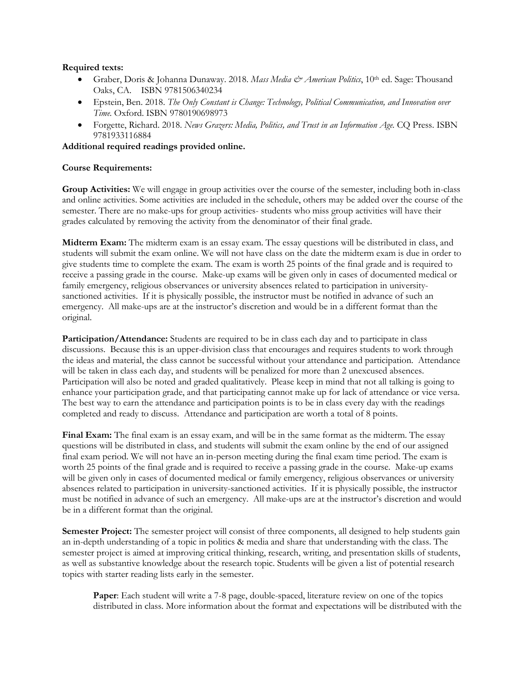## **Required texts:**

- Graber, Doris & Johanna Dunaway. 2018. *Mass Media & American Politics*, 10th ed. Sage: Thousand Oaks, CA. ISBN 9781506340234
- Epstein, Ben. 2018. *The Only Constant is Change: Technology, Political Communication, and Innovation over Time.* Oxford. ISBN 9780190698973
- Forgette, Richard. 2018. *News Grazers: Media, Politics, and Trust in an Information Age.* CO Press. ISBN 9781933116884

**Additional required readings provided online.**

# **Course Requirements:**

**Group Activities:** We will engage in group activities over the course of the semester, including both in-class and online activities. Some activities are included in the schedule, others may be added over the course of the semester. There are no make-ups for group activities- students who miss group activities will have their grades calculated by removing the activity from the denominator of their final grade.

**Midterm Exam:** The midterm exam is an essay exam. The essay questions will be distributed in class, and students will submit the exam online. We will not have class on the date the midterm exam is due in order to give students time to complete the exam. The exam is worth 25 points of the final grade and is required to receive a passing grade in the course. Make-up exams will be given only in cases of documented medical or family emergency, religious observances or university absences related to participation in universitysanctioned activities. If it is physically possible, the instructor must be notified in advance of such an emergency. All make-ups are at the instructor's discretion and would be in a different format than the original.

**Participation/Attendance:** Students are required to be in class each day and to participate in class discussions. Because this is an upper-division class that encourages and requires students to work through the ideas and material, the class cannot be successful without your attendance and participation. Attendance will be taken in class each day, and students will be penalized for more than 2 unexcused absences. Participation will also be noted and graded qualitatively. Please keep in mind that not all talking is going to enhance your participation grade, and that participating cannot make up for lack of attendance or vice versa. The best way to earn the attendance and participation points is to be in class every day with the readings completed and ready to discuss. Attendance and participation are worth a total of 8 points.

**Final Exam:** The final exam is an essay exam, and will be in the same format as the midterm. The essay questions will be distributed in class, and students will submit the exam online by the end of our assigned final exam period. We will not have an in-person meeting during the final exam time period. The exam is worth 25 points of the final grade and is required to receive a passing grade in the course. Make-up exams will be given only in cases of documented medical or family emergency, religious observances or university absences related to participation in university-sanctioned activities. If it is physically possible, the instructor must be notified in advance of such an emergency. All make-ups are at the instructor's discretion and would be in a different format than the original.

**Semester Project:** The semester project will consist of three components, all designed to help students gain an in-depth understanding of a topic in politics & media and share that understanding with the class. The semester project is aimed at improving critical thinking, research, writing, and presentation skills of students, as well as substantive knowledge about the research topic. Students will be given a list of potential research topics with starter reading lists early in the semester.

**Paper**: Each student will write a 7-8 page, double-spaced, literature review on one of the topics distributed in class. More information about the format and expectations will be distributed with the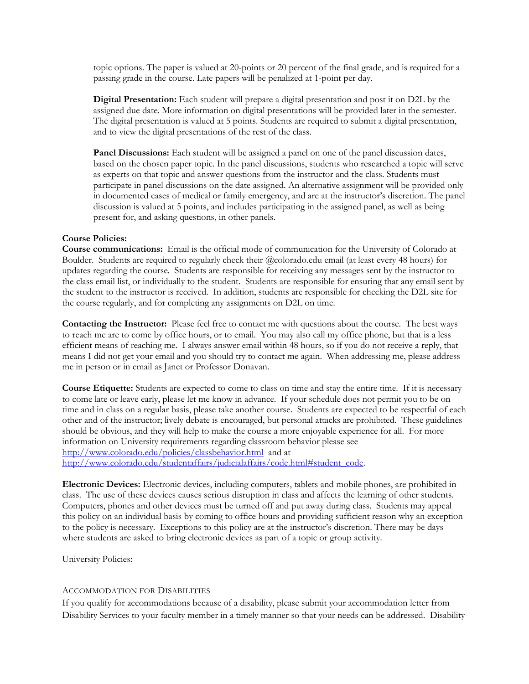topic options. The paper is valued at 20-points or 20 percent of the final grade, and is required for a passing grade in the course. Late papers will be penalized at 1-point per day.

**Digital Presentation:** Each student will prepare a digital presentation and post it on D2L by the assigned due date. More information on digital presentations will be provided later in the semester. The digital presentation is valued at 5 points. Students are required to submit a digital presentation, and to view the digital presentations of the rest of the class.

**Panel Discussions:** Each student will be assigned a panel on one of the panel discussion dates, based on the chosen paper topic. In the panel discussions, students who researched a topic will serve as experts on that topic and answer questions from the instructor and the class. Students must participate in panel discussions on the date assigned. An alternative assignment will be provided only in documented cases of medical or family emergency, and are at the instructor's discretion. The panel discussion is valued at 5 points, and includes participating in the assigned panel, as well as being present for, and asking questions, in other panels.

### **Course Policies:**

**Course communications:** Email is the official mode of communication for the University of Colorado at Boulder. Students are required to regularly check their @colorado.edu email (at least every 48 hours) for updates regarding the course. Students are responsible for receiving any messages sent by the instructor to the class email list, or individually to the student. Students are responsible for ensuring that any email sent by the student to the instructor is received. In addition, students are responsible for checking the D2L site for the course regularly, and for completing any assignments on D2L on time.

**Contacting the Instructor:** Please feel free to contact me with questions about the course. The best ways to reach me are to come by office hours, or to email. You may also call my office phone, but that is a less efficient means of reaching me. I always answer email within 48 hours, so if you do not receive a reply, that means I did not get your email and you should try to contact me again. When addressing me, please address me in person or in email as Janet or Professor Donavan.

**Course Etiquette:** Students are expected to come to class on time and stay the entire time. If it is necessary to come late or leave early, please let me know in advance. If your schedule does not permit you to be on time and in class on a regular basis, please take another course. Students are expected to be respectful of each other and of the instructor; lively debate is encouraged, but personal attacks are prohibited. These guidelines should be obvious, and they will help to make the course a more enjoyable experience for all. For more information on University requirements regarding classroom behavior please see <http://www.colorado.edu/policies/classbehavior.html>and at [http://www.colorado.edu/studentaffairs/judicialaffairs/code.html#student\\_code.](http://www.colorado.edu/studentaffairs/judicialaffairs/code.html#student_code)

**Electronic Devices:** Electronic devices, including computers, tablets and mobile phones, are prohibited in class. The use of these devices causes serious disruption in class and affects the learning of other students. Computers, phones and other devices must be turned off and put away during class. Students may appeal this policy on an individual basis by coming to office hours and providing sufficient reason why an exception to the policy is necessary. Exceptions to this policy are at the instructor's discretion. There may be days where students are asked to bring electronic devices as part of a topic or group activity.

University Policies:

#### ACCOMMODATION FOR DISABILITIES

If you qualify for accommodations because of a disability, please submit your accommodation letter from Disability Services to your faculty member in a timely manner so that your needs can be addressed. Disability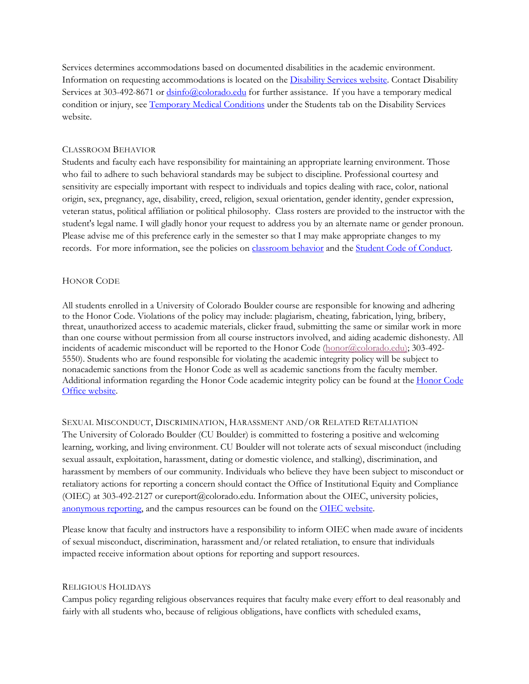Services determines accommodations based on documented disabilities in the academic environment. Information on requesting accommodations is located on th[e Disability Services website.](http://www.colorado.edu/disabilityservices/students) Contact Disability Services at 303-492-8671 or  $\frac{dsinfo(\omega) \cdot \text{colorado.edu}}{\text{colorado.edu}}$  for further assistance. If you have a temporary medical condition or injury, see [Temporary Medical Conditions](http://www.colorado.edu/disabilityservices/students/temporary-medical-conditions) under the Students tab on the Disability Services website.

# CLASSROOM BEHAVIOR

Students and faculty each have responsibility for maintaining an appropriate learning environment. Those who fail to adhere to such behavioral standards may be subject to discipline. Professional courtesy and sensitivity are especially important with respect to individuals and topics dealing with race, color, national origin, sex, pregnancy, age, disability, creed, religion, sexual orientation, gender identity, gender expression, veteran status, political affiliation or political philosophy. Class rosters are provided to the instructor with the student's legal name. I will gladly honor your request to address you by an alternate name or gender pronoun. Please advise me of this preference early in the semester so that I may make appropriate changes to my records. For more information, see the policies on [classroom behavior](http://www.colorado.edu/policies/student-classroom-and-course-related-behavior) and the [Student Code of Conduct.](http://www.colorado.edu/osccr/)

## HONOR CODE

All students enrolled in a University of Colorado Boulder course are responsible for knowing and adhering to the Honor Code. Violations of the policy may include: plagiarism, cheating, fabrication, lying, bribery, threat, unauthorized access to academic materials, clicker fraud, submitting the same or similar work in more than one course without permission from all course instructors involved, and aiding academic dishonesty. All incidents of academic misconduct will be reported to the Honor Code [\(honor@colorado.edu\)](mailto:honor@colorado.edu); 303-492- 5550). Students who are found responsible for violating the academic integrity policy will be subject to nonacademic sanctions from the Honor Code as well as academic sanctions from the faculty member. Additional information regarding the Honor Code academic integrity policy can be found at the [Honor Code](https://www.colorado.edu/osccr/honor-code)  [Office website.](https://www.colorado.edu/osccr/honor-code)

### SEXUAL MISCONDUCT, DISCRIMINATION, HARASSMENT AND/OR RELATED RETALIATION

The University of Colorado Boulder (CU Boulder) is committed to fostering a positive and welcoming learning, working, and living environment. CU Boulder will not tolerate acts of sexual misconduct (including sexual assault, exploitation, harassment, dating or domestic violence, and stalking), discrimination, and harassment by members of our community. Individuals who believe they have been subject to misconduct or retaliatory actions for reporting a concern should contact the Office of Institutional Equity and Compliance (OIEC) at 303-492-2127 or cureport@colorado.edu. Information about the OIEC, university policies, [anonymous reporting,](https://cuboulder.qualtrics.com/jfe/form/SV_0PnqVK4kkIJIZnf) and the campus resources can be found on the [OIEC website.](http://www.colorado.edu/institutionalequity/)

Please know that faculty and instructors have a responsibility to inform OIEC when made aware of incidents of sexual misconduct, discrimination, harassment and/or related retaliation, to ensure that individuals impacted receive information about options for reporting and support resources.

## RELIGIOUS HOLIDAYS

Campus policy regarding religious observances requires that faculty make every effort to deal reasonably and fairly with all students who, because of religious obligations, have conflicts with scheduled exams,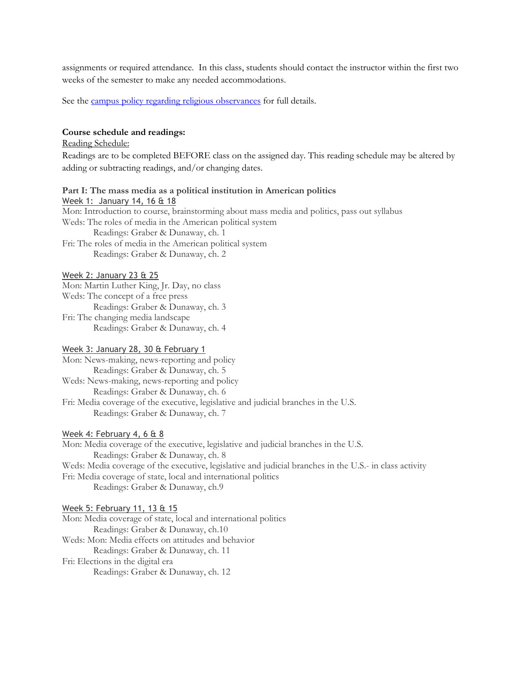assignments or required attendance. In this class, students should contact the instructor within the first two weeks of the semester to make any needed accommodations.

See the [campus policy regarding religious observances](http://www.colorado.edu/policies/observance-religious-holidays-and-absences-classes-andor-exams) for full details.

# **Course schedule and readings:**

Reading Schedule:

Readings are to be completed BEFORE class on the assigned day. This reading schedule may be altered by adding or subtracting readings, and/or changing dates.

#### **Part I: The mass media as a political institution in American politics**

Week 1: January 14, 16 & 18 Mon: Introduction to course, brainstorming about mass media and politics, pass out syllabus Weds: The roles of media in the American political system Readings: Graber & Dunaway, ch. 1 Fri: The roles of media in the American political system Readings: Graber & Dunaway, ch. 2

#### Week 2: January 23 & 25

Mon: Martin Luther King, Jr. Day, no class Weds: The concept of a free press Readings: Graber & Dunaway, ch. 3 Fri: The changing media landscape Readings: Graber & Dunaway, ch. 4

### Week 3: January 28, 30 & February 1

Mon: News-making, news-reporting and policy Readings: Graber & Dunaway, ch. 5 Weds: News-making, news-reporting and policy

Readings: Graber & Dunaway, ch. 6 Fri: Media coverage of the executive, legislative and judicial branches in the U.S. Readings: Graber & Dunaway, ch. 7

#### Week 4: February 4, 6 & 8

Mon: Media coverage of the executive, legislative and judicial branches in the U.S. Readings: Graber & Dunaway, ch. 8 Weds: Media coverage of the executive, legislative and judicial branches in the U.S.- in class activity Fri: Media coverage of state, local and international politics Readings: Graber & Dunaway, ch.9

### Week 5: February 11, 13 & 15

Mon: Media coverage of state, local and international politics Readings: Graber & Dunaway, ch.10 Weds: Mon: Media effects on attitudes and behavior Readings: Graber & Dunaway, ch. 11 Fri: Elections in the digital era Readings: Graber & Dunaway, ch. 12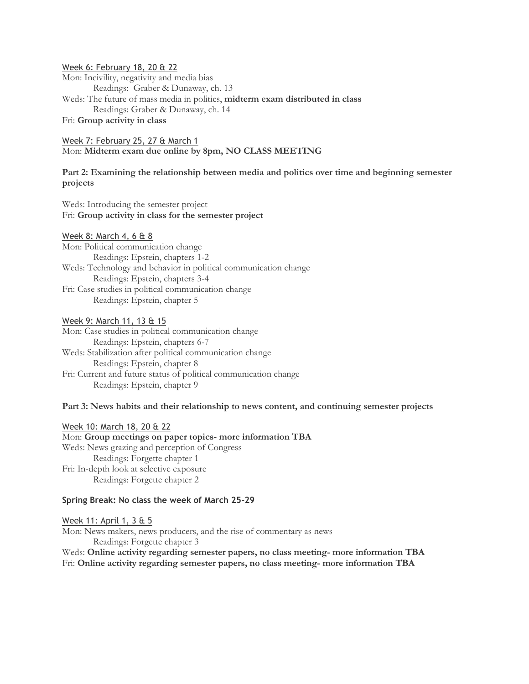Week 6: February 18, 20 & 22 Mon: Incivility, negativity and media bias Readings: Graber & Dunaway, ch. 13 Weds: The future of mass media in politics, **midterm exam distributed in class** Readings: Graber & Dunaway, ch. 14 Fri: **Group activity in class**

### Week 7: February 25, 27 & March 1

Mon: **Midterm exam due online by 8pm, NO CLASS MEETING**

## **Part 2: Examining the relationship between media and politics over time and beginning semester projects**

Weds: Introducing the semester project Fri: **Group activity in class for the semester project**

## Week 8: March 4, 6 & 8

Mon: Political communication change Readings: Epstein, chapters 1-2 Weds: Technology and behavior in political communication change Readings: Epstein, chapters 3-4 Fri: Case studies in political communication change Readings: Epstein, chapter 5

#### Week 9: March 11, 13 & 15

Mon: Case studies in political communication change Readings: Epstein, chapters 6-7 Weds: Stabilization after political communication change Readings: Epstein, chapter 8 Fri: Current and future status of political communication change Readings: Epstein, chapter 9

## **Part 3: News habits and their relationship to news content, and continuing semester projects**

Week 10: March 18, 20 & 22 Mon: **Group meetings on paper topics- more information TBA** Weds: News grazing and perception of Congress Readings: Forgette chapter 1 Fri: In-depth look at selective exposure Readings: Forgette chapter 2

### **Spring Break: No class the week of March 25-29**

Week 11: April 1, 3 & 5 Mon: News makers, news producers, and the rise of commentary as news Readings: Forgette chapter 3 Weds: **Online activity regarding semester papers, no class meeting- more information TBA** Fri: **Online activity regarding semester papers, no class meeting- more information TBA**